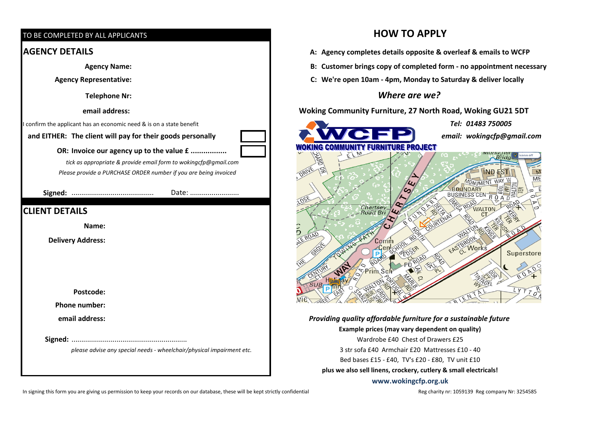